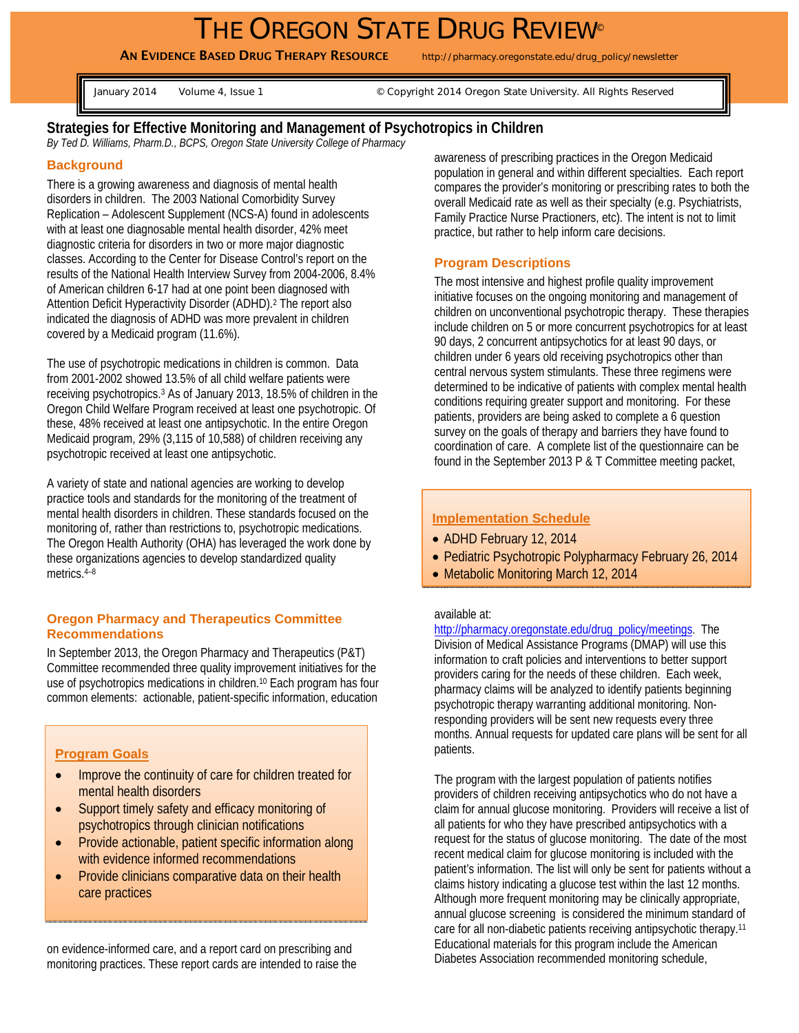# THE OREGON STATE DRUG REVIEW®

AN EVIDENCE BASED DRUG THERAPY RESOURCE http://pharmacy.oregonstate.edu/drug\_policy/newsletter

January 2014 Volume 4, Issue 1 G Copyright 2014 Oregon State University. All Rights Reserved

## **Strategies for Effective Monitoring and Management of Psychotropics in Children**

*By Ted D. Williams, Pharm.D., BCPS, Oregon State University College of Pharmacy* 

## **Background**

There is a growing awareness and diagnosis of mental health disorders in children. The 2003 National Comorbidity Survey Replication – Adolescent Supplement (NCS-A) found in adolescents with at least one diagnosable mental health disorder, 42% meet diagnostic criteria for disorders in two or more major diagnostic classes. According to the Center for Disease Control's report on the results of the National Health Interview Survey from 2004-2006, 8.4% of American children 6-17 had at one point been diagnosed with Attention Deficit Hyperactivity Disorder (ADHD).2 The report also indicated the diagnosis of ADHD was more prevalent in children covered by a Medicaid program (11.6%).

The use of psychotropic medications in children is common. Data from 2001-2002 showed 13.5% of all child welfare patients were receiving psychotropics.3 As of January 2013, 18.5% of children in the Oregon Child Welfare Program received at least one psychotropic. Of these, 48% received at least one antipsychotic. In the entire Oregon Medicaid program, 29% (3,115 of 10,588) of children receiving any psychotropic received at least one antipsychotic.

A variety of state and national agencies are working to develop practice tools and standards for the monitoring of the treatment of mental health disorders in children. These standards focused on the monitoring of, rather than restrictions to, psychotropic medications. The Oregon Health Authority (OHA) has leveraged the work done by these organizations agencies to develop standardized quality metrics.4–8

#### **Oregon Pharmacy and Therapeutics Committee Recommendations**

In September 2013, the Oregon Pharmacy and Therapeutics (P&T) Committee recommended three quality improvement initiatives for the use of psychotropics medications in children.<sup>10</sup> Each program has four common elements: actionable, patient-specific information, education

## **Program Goals**

- Improve the continuity of care for children treated for mental health disorders
- Support timely safety and efficacy monitoring of psychotropics through clinician notifications
- Provide actionable, patient specific information along with evidence informed recommendations
- Provide clinicians comparative data on their health care practices

on evidence-informed care, and a report card on prescribing and monitoring practices. These report cards are intended to raise the

awareness of prescribing practices in the Oregon Medicaid population in general and within different specialties. Each report compares the provider's monitoring or prescribing rates to both the overall Medicaid rate as well as their specialty (e.g. Psychiatrists, Family Practice Nurse Practioners, etc). The intent is not to limit practice, but rather to help inform care decisions.

#### **Program Descriptions**

The most intensive and highest profile quality improvement initiative focuses on the ongoing monitoring and management of children on unconventional psychotropic therapy. These therapies include children on 5 or more concurrent psychotropics for at least 90 days, 2 concurrent antipsychotics for at least 90 days, or children under 6 years old receiving psychotropics other than central nervous system stimulants. These three regimens were determined to be indicative of patients with complex mental health conditions requiring greater support and monitoring. For these patients, providers are being asked to complete a 6 question survey on the goals of therapy and barriers they have found to coordination of care. A complete list of the questionnaire can be found in the September 2013 P & T Committee meeting packet,

#### **Implementation Schedule**

- ADHD February 12, 2014
- Pediatric Psychotropic Polypharmacy February 26, 2014
- Metabolic Monitoring March 12, 2014

#### available at:

http://pharmacy.oregonstate.edu/drug\_policy/meetings. The Division of Medical Assistance Programs (DMAP) will use this information to craft policies and interventions to better support providers caring for the needs of these children. Each week, pharmacy claims will be analyzed to identify patients beginning psychotropic therapy warranting additional monitoring. Nonresponding providers will be sent new requests every three months. Annual requests for updated care plans will be sent for all patients.

The program with the largest population of patients notifies providers of children receiving antipsychotics who do not have a claim for annual glucose monitoring. Providers will receive a list of all patients for who they have prescribed antipsychotics with a request for the status of glucose monitoring. The date of the most recent medical claim for glucose monitoring is included with the patient's information. The list will only be sent for patients without a claims history indicating a glucose test within the last 12 months. Although more frequent monitoring may be clinically appropriate, annual glucose screening is considered the minimum standard of care for all non-diabetic patients receiving antipsychotic therapy.11 Educational materials for this program include the American Diabetes Association recommended monitoring schedule,